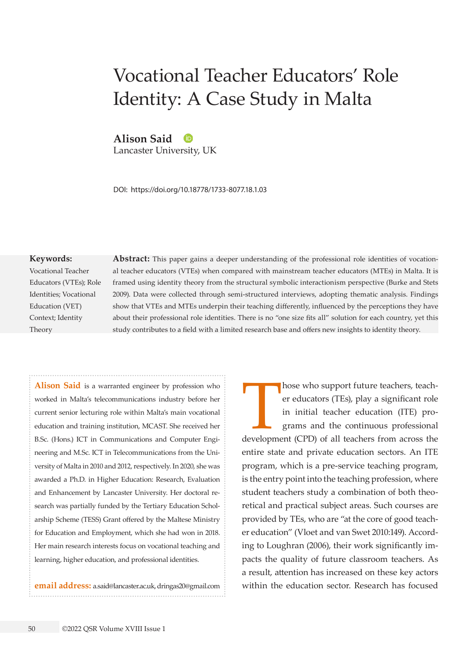# Vocational Teacher Educators' Role Identity: A Case Study in Malta

**Alison Said**

Lancaster University, UK

DOI: https://doi.org/10.18778/1733-8077.18.1.03

#### **Keywords:**

Vocational Teacher Educators (VTEs); Role Identities; Vocational Education (VET) Context; Identity Theory

**Abstract:** This paper gains a deeper understanding of the professional role identities of vocational teacher educators (VTEs) when compared with mainstream teacher educators (MTEs) in Malta. It is framed using identity theory from the structural symbolic interactionism perspective (Burke and Stets 2009). Data were collected through semi-structured interviews, adopting thematic analysis. Findings show that VTEs and MTEs underpin their teaching differently, influenced by the perceptions they have about their professional role identities. There is no "one size fits all" solution for each country, yet this study contributes to a field with a limited research base and offers new insights to identity theory.

**Alison Said** is a warranted engineer by profession who worked in Malta's telecommunications industry before her current senior lecturing role within Malta's main vocational education and training institution, MCAST. She received her B.Sc. (Hons.) ICT in Communications and Computer Engineering and M.Sc. ICT in Telecommunications from the University of Malta in 2010 and 2012, respectively. In 2020, she was awarded a Ph.D. in Higher Education: Research, Evaluation and Enhancement by Lancaster University. Her doctoral research was partially funded by the Tertiary Education Scholarship Scheme (TESS) Grant offered by the Maltese Ministry for Education and Employment, which she had won in 2018. Her main research interests focus on vocational teaching and learning, higher education, and professional identities.

**email address:** [a.said@lancaster.ac.uk,](mailto:a.said@lancaster.ac.uk) [dringas20@gmail.com](mailto:dringas20@gmail.com)

hose who support future teachers, teacher educators (TEs), play a significant role in initial teacher education (ITE) programs and the continuous professional development (CPD) of all teachers from across the er educators (TEs), play a significant role in initial teacher education (ITE) programs and the continuous professional entire state and private education sectors. An ITE program, which is a pre-service teaching program, is the entry point into the teaching profession, where student teachers study a combination of both theoretical and practical subject areas. Such courses are provided by TEs, who are "at the core of good teacher education" (Vloet and van Swet 2010:149). According to Loughran (2006), their work significantly impacts the quality of future classroom teachers. As a result, attention has increased on these key actors within the education sector. Research has focused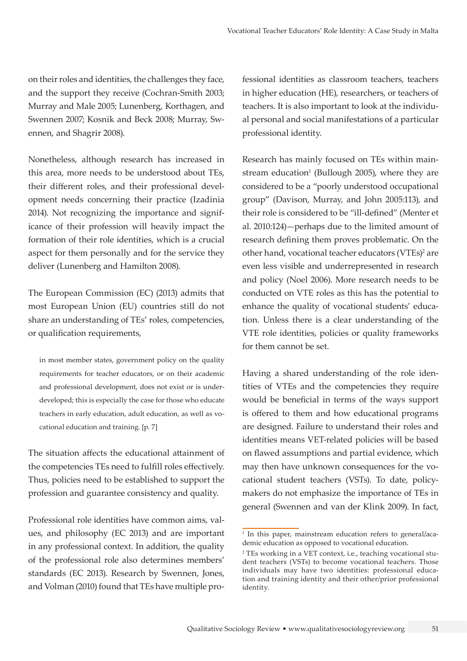on their roles and identities, the challenges they face, and the support they receive (Cochran-Smith 2003; Murray and Male 2005; Lunenberg, Korthagen, and Swennen 2007; Kosnik and Beck 2008; Murray, Swennen, and Shagrir 2008).

Nonetheless, although research has increased in this area, more needs to be understood about TEs, their different roles, and their professional development needs concerning their practice (Izadinia 2014). Not recognizing the importance and significance of their profession will heavily impact the formation of their role identities, which is a crucial aspect for them personally and for the service they deliver (Lunenberg and Hamilton 2008).

The European Commission (EC) (2013) admits that most European Union (EU) countries still do not share an understanding of TEs' roles, competencies, or qualification requirements,

in most member states, government policy on the quality requirements for teacher educators, or on their academic and professional development, does not exist or is underdeveloped; this is especially the case for those who educate teachers in early education, adult education, as well as vocational education and training. [p. 7]

The situation affects the educational attainment of the competencies TEs need to fulfill roles effectively. Thus, policies need to be established to support the profession and guarantee consistency and quality.

Professional role identities have common aims, values, and philosophy (EC 2013) and are important in any professional context. In addition, the quality of the professional role also determines members' standards (EC 2013). Research by Swennen, Jones, and Volman (2010) found that TEs have multiple pro-

fessional identities as classroom teachers, teachers in higher education (HE), researchers, or teachers of teachers. It is also important to look at the individual personal and social manifestations of a particular professional identity.

Research has mainly focused on TEs within mainstream education<sup>1</sup> (Bullough 2005), where they are considered to be a "poorly understood occupational group" (Davison, Murray, and John 2005:113), and their role is considered to be "ill-defined" (Menter et al. 2010:124)—perhaps due to the limited amount of research defining them proves problematic. On the other hand, vocational teacher educators (VTEs)<sup>2</sup> are even less visible and underrepresented in research and policy (Noel 2006). More research needs to be conducted on VTE roles as this has the potential to enhance the quality of vocational students' education. Unless there is a clear understanding of the VTE role identities, policies or quality frameworks for them cannot be set.

Having a shared understanding of the role identities of VTEs and the competencies they require would be beneficial in terms of the ways support is offered to them and how educational programs are designed. Failure to understand their roles and identities means VET-related policies will be based on flawed assumptions and partial evidence, which may then have unknown consequences for the vocational student teachers (VSTs). To date, policymakers do not emphasize the importance of TEs in general (Swennen and van der Klink 2009). In fact,

<sup>&</sup>lt;sup>1</sup> In this paper, mainstream education refers to general/academic education as opposed to vocational education.

<sup>2</sup> TEs working in a VET context, i.e., teaching vocational student teachers (VSTs) to become vocational teachers. Those individuals may have two identities: professional education and training identity and their other/prior professional identity.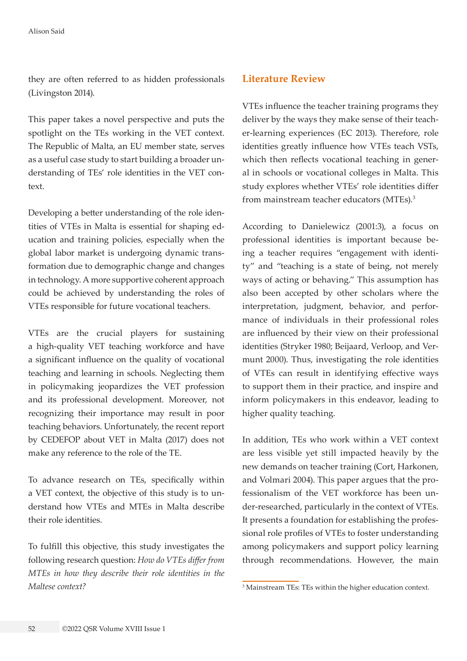they are often referred to as hidden professionals (Livingston 2014).

This paper takes a novel perspective and puts the spotlight on the TEs working in the VET context. The Republic of Malta, an EU member state, serves as a useful case study to start building a broader understanding of TEs' role identities in the VET context.

Developing a better understanding of the role identities of VTEs in Malta is essential for shaping education and training policies, especially when the global labor market is undergoing dynamic transformation due to demographic change and changes in technology. A more supportive coherent approach could be achieved by understanding the roles of VTEs responsible for future vocational teachers.

VTEs are the crucial players for sustaining a high-quality VET teaching workforce and have a significant influence on the quality of vocational teaching and learning in schools. Neglecting them in policymaking jeopardizes the VET profession and its professional development. Moreover, not recognizing their importance may result in poor teaching behaviors. Unfortunately, the recent report by CEDEFOP about VET in Malta (2017) does not make any reference to the role of the TE.

To advance research on TEs, specifically within a VET context, the objective of this study is to understand how VTEs and MTEs in Malta describe their role identities.

To fulfill this objective, this study investigates the following research question: *How do VTEs differ from MTEs in how they describe their role identities in the Maltese context?*

# **Literature Review**

VTEs influence the teacher training programs they deliver by the ways they make sense of their teacher-learning experiences (EC 2013). Therefore, role identities greatly influence how VTEs teach VSTs, which then reflects vocational teaching in general in schools or vocational colleges in Malta. This study explores whether VTEs' role identities differ from mainstream teacher educators (MTEs).<sup>3</sup>

According to Danielewicz (2001:3), a focus on professional identities is important because being a teacher requires "engagement with identity" and "teaching is a state of being, not merely ways of acting or behaving." This assumption has also been accepted by other scholars where the interpretation, judgment, behavior, and performance of individuals in their professional roles are influenced by their view on their professional identities (Stryker 1980; Beijaard, Verloop, and Vermunt 2000). Thus, investigating the role identities of VTEs can result in identifying effective ways to support them in their practice, and inspire and inform policymakers in this endeavor, leading to higher quality teaching.

In addition, TEs who work within a VET context are less visible yet still impacted heavily by the new demands on teacher training (Cort, Harkonen, and Volmari 2004). This paper argues that the professionalism of the VET workforce has been under-researched, particularly in the context of VTEs. It presents a foundation for establishing the professional role profiles of VTEs to foster understanding among policymakers and support policy learning through recommendations. However, the main

<sup>3</sup> Mainstream TEs: TEs within the higher education context.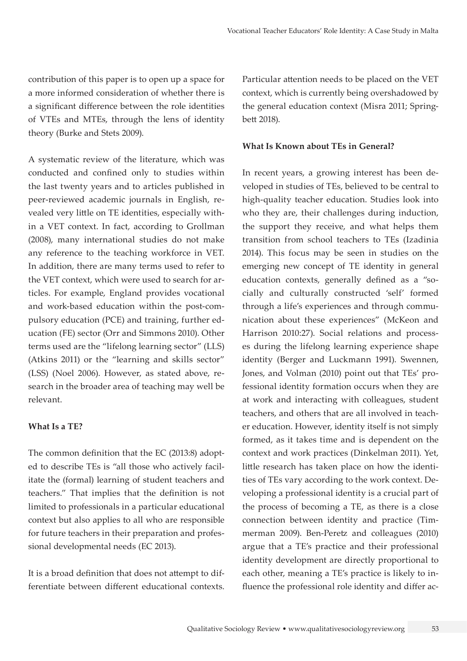contribution of this paper is to open up a space for a more informed consideration of whether there is a significant difference between the role identities of VTEs and MTEs, through the lens of identity theory (Burke and Stets 2009).

A systematic review of the literature, which was conducted and confined only to studies within the last twenty years and to articles published in peer-reviewed academic journals in English, revealed very little on TE identities, especially within a VET context. In fact, according to Grollman (2008), many international studies do not make any reference to the teaching workforce in VET. In addition, there are many terms used to refer to the VET context, which were used to search for articles. For example, England provides vocational and work-based education within the post-compulsory education (PCE) and training, further education (FE) sector (Orr and Simmons 2010). Other terms used are the "lifelong learning sector" (LLS) (Atkins 2011) or the "learning and skills sector" (LSS) (Noel 2006). However, as stated above, research in the broader area of teaching may well be relevant.

### **What Is a TE?**

The common definition that the EC (2013:8) adopted to describe TEs is "all those who actively facilitate the (formal) learning of student teachers and teachers." That implies that the definition is not limited to professionals in a particular educational context but also applies to all who are responsible for future teachers in their preparation and professional developmental needs (EC 2013).

It is a broad definition that does not attempt to differentiate between different educational contexts. Particular attention needs to be placed on the VET context, which is currently being overshadowed by the general education context (Misra 2011; Springbett 2018).

#### **What Is Known about TEs in General?**

In recent years, a growing interest has been developed in studies of TEs, believed to be central to high-quality teacher education. Studies look into who they are, their challenges during induction, the support they receive, and what helps them transition from school teachers to TEs (Izadinia 2014). This focus may be seen in studies on the emerging new concept of TE identity in general education contexts, generally defined as a "socially and culturally constructed 'self' formed through a life's experiences and through communication about these experiences" (McKeon and Harrison 2010:27). Social relations and processes during the lifelong learning experience shape identity (Berger and Luckmann 1991). Swennen, Jones, and Volman (2010) point out that TEs' professional identity formation occurs when they are at work and interacting with colleagues, student teachers, and others that are all involved in teacher education. However, identity itself is not simply formed, as it takes time and is dependent on the context and work practices (Dinkelman 2011). Yet, little research has taken place on how the identities of TEs vary according to the work context. Developing a professional identity is a crucial part of the process of becoming a TE, as there is a close connection between identity and practice (Timmerman 2009). Ben-Peretz and colleagues (2010) argue that a TE's practice and their professional identity development are directly proportional to each other, meaning a TE's practice is likely to influence the professional role identity and differ ac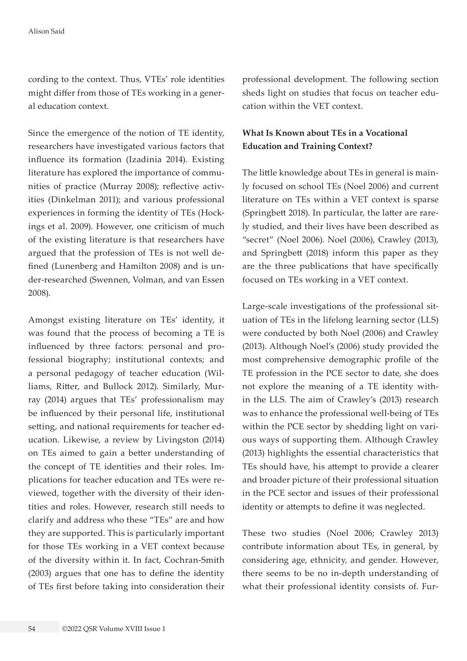cording to the context. Thus, VTEs' role identities might differ from those of TEs working in a general education context.

Since the emergence of the notion of TE identity, researchers have investigated various factors that influence its formation (Izadinia 2014). Existing literature has explored the importance of communities of practice (Murray 2008); reflective activities (Dinkelman 2011); and various professional experiences in forming the identity of TEs (Hockings et al. 2009). However, one criticism of much of the existing literature is that researchers have argued that the profession of TEs is not well defined (Lunenberg and Hamilton 2008) and is under-researched (Swennen, Volman, and van Essen 2008).

Amongst existing literature on TEs' identity, it was found that the process of becoming a TE is influenced by three factors: personal and professional biography; institutional contexts; and a personal pedagogy of teacher education (Williams, Ritter, and Bullock 2012). Similarly, Murray (2014) argues that TEs' professionalism may be influenced by their personal life, institutional setting, and national requirements for teacher education. Likewise, a review by Livingston (2014) on TEs aimed to gain a better understanding of the concept of TE identities and their roles. Implications for teacher education and TEs were reviewed, together with the diversity of their identities and roles. However, research still needs to clarify and address who these "TEs" are and how they are supported. This is particularly important for those TEs working in a VET context because of the diversity within it. In fact, Cochran-Smith (2003) argues that one has to define the identity of TEs first before taking into consideration their professional development. The following section sheds light on studies that focus on teacher education within the VET context.

# **What Is Known about TEs in a Vocational Education and Training Context?**

The little knowledge about TEs in general is mainly focused on school TEs (Noel 2006) and current literature on TEs within a VET context is sparse (Springbett 2018). In particular, the latter are rarely studied, and their lives have been described as "secret" (Noel 2006). Noel (2006), Crawley (2013), and Springbett (2018) inform this paper as they are the three publications that have specifically focused on TEs working in a VET context.

Large-scale investigations of the professional situation of TEs in the lifelong learning sector (LLS) were conducted by both Noel (2006) and Crawley (2013). Although Noel's (2006) study provided the most comprehensive demographic profile of the TE profession in the PCE sector to date, she does not explore the meaning of a TE identity within the LLS. The aim of Crawley's (2013) research was to enhance the professional well-being of TEs within the PCE sector by shedding light on various ways of supporting them. Although Crawley (2013) highlights the essential characteristics that TEs should have, his attempt to provide a clearer and broader picture of their professional situation in the PCE sector and issues of their professional identity or attempts to define it was neglected.

These two studies (Noel 2006; Crawley 2013) contribute information about TEs, in general, by considering age, ethnicity, and gender. However, there seems to be no in-depth understanding of what their professional identity consists of. Fur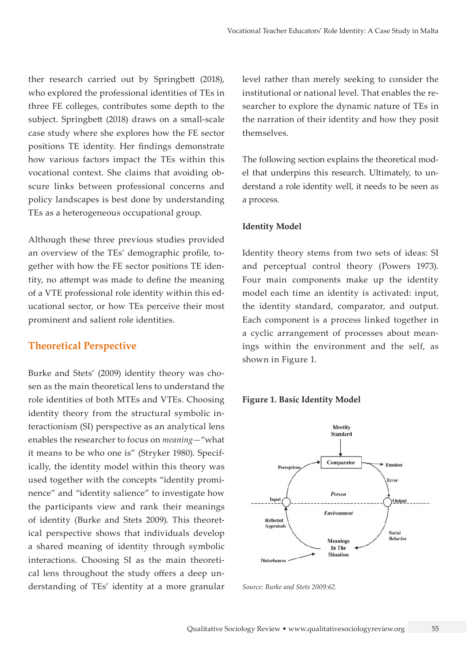ther research carried out by Springbett (2018), who explored the professional identities of TEs in three FE colleges, contributes some depth to the subject. Springbett (2018) draws on a small-scale case study where she explores how the FE sector positions TE identity. Her findings demonstrate how various factors impact the TEs within this vocational context. She claims that avoiding obscure links between professional concerns and policy landscapes is best done by understanding TEs as a heterogeneous occupational group.

Although these three previous studies provided an overview of the TEs' demographic profile, together with how the FE sector positions TE identity, no attempt was made to define the meaning of a VTE professional role identity within this educational sector, or how TEs perceive their most prominent and salient role identities.

## **Theoretical Perspective**

Burke and Stets' (2009) identity theory was chosen as the main theoretical lens to understand the role identities of both MTEs and VTEs. Choosing identity theory from the structural symbolic interactionism (SI) perspective as an analytical lens enables the researcher to focus on *meaning—*"what it means to be who one is" (Stryker 1980). Specifically, the identity model within this theory was used together with the concepts "identity prominence" and "identity salience" to investigate how the participants view and rank their meanings of identity (Burke and Stets 2009). This theoretical perspective shows that individuals develop a shared meaning of identity through symbolic interactions. Choosing SI as the main theoretical lens throughout the study offers a deep understanding of TEs' identity at a more granular level rather than merely seeking to consider the institutional or national level. That enables the researcher to explore the dynamic nature of TEs in the narration of their identity and how they posit themselves.

The following section explains the theoretical model that underpins this research. Ultimately, to understand a role identity well, it needs to be seen as a process.

#### **Identity Model**

Identity theory stems from two sets of ideas: SI and perceptual control theory (Powers 1973). Four main components make up the identity model each time an identity is activated: input, the identity standard, comparator, and output. Each component is a process linked together in a cyclic arrangement of processes about meanings within the environment and the self, as shown in Figure 1.

#### **Figure 1. Basic Identity Model**



*Source: Burke and Stets 2009:62.*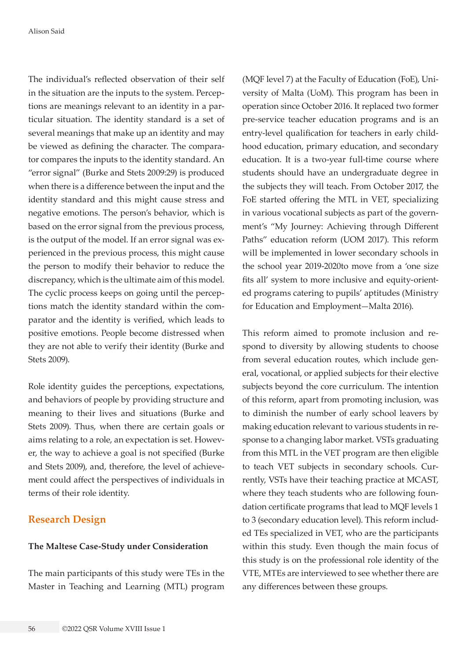The individual's reflected observation of their self in the situation are the inputs to the system. Perceptions are meanings relevant to an identity in a particular situation. The identity standard is a set of several meanings that make up an identity and may be viewed as defining the character. The comparator compares the inputs to the identity standard. An "error signal" (Burke and Stets 2009:29) is produced when there is a difference between the input and the identity standard and this might cause stress and negative emotions. The person's behavior, which is based on the error signal from the previous process, is the output of the model. If an error signal was experienced in the previous process, this might cause the person to modify their behavior to reduce the discrepancy, which is the ultimate aim of this model. The cyclic process keeps on going until the perceptions match the identity standard within the comparator and the identity is verified, which leads to positive emotions. People become distressed when they are not able to verify their identity (Burke and Stets 2009).

Role identity guides the perceptions, expectations, and behaviors of people by providing structure and meaning to their lives and situations (Burke and Stets 2009). Thus, when there are certain goals or aims relating to a role, an expectation is set. However, the way to achieve a goal is not specified (Burke and Stets 2009), and, therefore, the level of achievement could affect the perspectives of individuals in terms of their role identity.

# **Research Design**

#### **The Maltese Case-Study under Consideration**

The main participants of this study were TEs in the Master in Teaching and Learning (MTL) program

(MQF level 7) at the Faculty of Education (FoE), University of Malta (UoM). This program has been in operation since October 2016. It replaced two former pre-service teacher education programs and is an entry-level qualification for teachers in early childhood education, primary education, and secondary education. It is a two-year full-time course where students should have an undergraduate degree in the subjects they will teach. From October 2017, the FoE started offering the MTL in VET, specializing in various vocational subjects as part of the government's "My Journey: Achieving through Different Paths" education reform (UOM 2017). This reform will be implemented in lower secondary schools in the school year 2019-2020to move from a 'one size fits all' system to more inclusive and equity-oriented programs catering to pupils' aptitudes (Ministry for Education and Employment—Malta 2016).

This reform aimed to promote inclusion and respond to diversity by allowing students to choose from several education routes, which include general, vocational, or applied subjects for their elective subjects beyond the core curriculum. The intention of this reform, apart from promoting inclusion, was to diminish the number of early school leavers by making education relevant to various students in response to a changing labor market. VSTs graduating from this MTL in the VET program are then eligible to teach VET subjects in secondary schools. Currently, VSTs have their teaching practice at MCAST, where they teach students who are following foundation certificate programs that lead to MQF levels 1 to 3 (secondary education level). This reform included TEs specialized in VET, who are the participants within this study. Even though the main focus of this study is on the professional role identity of the VTE, MTEs are interviewed to see whether there are any differences between these groups.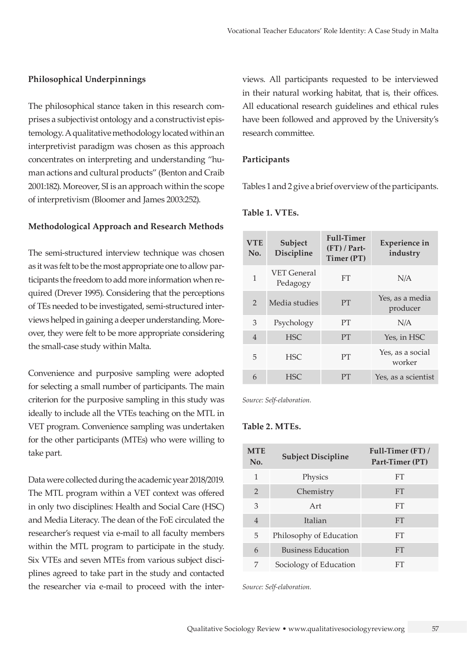#### **Philosophical Underpinnings**

The philosophical stance taken in this research comprises a subjectivist ontology and a constructivist epistemology. A qualitative methodology located within an interpretivist paradigm was chosen as this approach concentrates on interpreting and understanding "human actions and cultural products" (Benton and Craib 2001:182). Moreover, SI is an approach within the scope of interpretivism (Bloomer and James 2003:252).

#### **Methodological Approach and Research Methods**

The semi-structured interview technique was chosen as it was felt to be the most appropriate one to allow participants the freedom to add more information when required (Drever 1995). Considering that the perceptions of TEs needed to be investigated, semi-structured interviews helped in gaining a deeper understanding. Moreover, they were felt to be more appropriate considering the small-case study within Malta.

Convenience and purposive sampling were adopted for selecting a small number of participants. The main criterion for the purposive sampling in this study was ideally to include all the VTEs teaching on the MTL in VET program. Convenience sampling was undertaken for the other participants (MTEs) who were willing to take part.

Data were collected during the academic year 2018/2019. The MTL program within a VET context was offered in only two disciplines: Health and Social Care (HSC) and Media Literacy. The dean of the FoE circulated the researcher's request via e-mail to all faculty members within the MTL program to participate in the study. Six VTEs and seven MTEs from various subject disciplines agreed to take part in the study and contacted the researcher via e-mail to proceed with the interviews. All participants requested to be interviewed in their natural working habitat, that is, their offices. All educational research guidelines and ethical rules have been followed and approved by the University's research committee.

#### **Participants**

Tables 1 and 2 give a brief overview of the participants.

| <b>VET General</b><br>1<br><b>FT</b><br>N/A<br>Pedagogy<br>Yes, as a media<br>$\mathcal{P}$<br><b>PT</b><br>Media studies<br>producer<br>3<br>PТ<br>N/A<br>Psychology<br><b>HSC</b><br><b>PT</b><br>$\overline{4}$<br>Yes, in HSC<br>Yes, as a social<br>PT<br>5<br><b>HSC</b><br>worker<br><b>HSC</b><br><b>PT</b><br>6<br>Yes, as a scientist | <b>VTE</b><br>No. | Subject<br>Discipline | <b>Full-Timer</b><br>$(FT)$ / Part-<br>Timer (PT) | <b>Experience in</b><br>industry |
|-------------------------------------------------------------------------------------------------------------------------------------------------------------------------------------------------------------------------------------------------------------------------------------------------------------------------------------------------|-------------------|-----------------------|---------------------------------------------------|----------------------------------|
|                                                                                                                                                                                                                                                                                                                                                 |                   |                       |                                                   |                                  |
|                                                                                                                                                                                                                                                                                                                                                 |                   |                       |                                                   |                                  |
|                                                                                                                                                                                                                                                                                                                                                 |                   |                       |                                                   |                                  |
|                                                                                                                                                                                                                                                                                                                                                 |                   |                       |                                                   |                                  |
|                                                                                                                                                                                                                                                                                                                                                 |                   |                       |                                                   |                                  |
|                                                                                                                                                                                                                                                                                                                                                 |                   |                       |                                                   |                                  |

**Table 1. VTEs.**

*Source: Self-elaboration.*

## **Table 2. MTEs.**

| <b>MTE</b><br>No. | <b>Subject Discipline</b> | Full-Timer (FT) /<br>Part-Timer (PT) |
|-------------------|---------------------------|--------------------------------------|
| 1                 | Physics                   | <b>FT</b>                            |
| $\mathfrak{D}$    | Chemistry                 | <b>FT</b>                            |
| 3                 | Art                       | <b>FT</b>                            |
| $\overline{4}$    | Italian                   | <b>FT</b>                            |
| 5                 | Philosophy of Education   | <b>FT</b>                            |
| 6                 | <b>Business Education</b> | <b>FT</b>                            |
| 7                 | Sociology of Education    | FT                                   |

*Source: Self-elaboration.*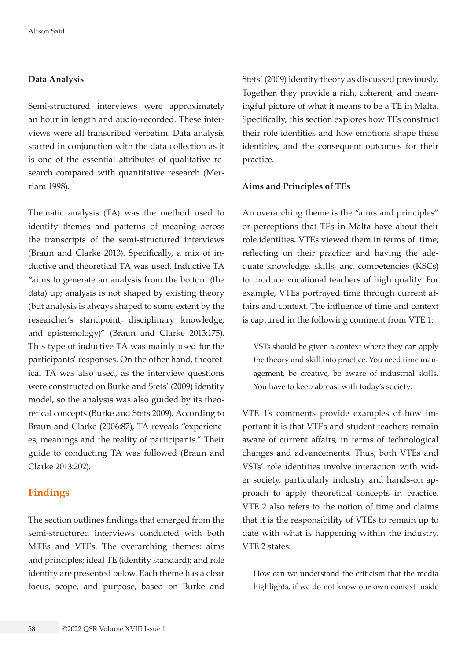#### **Data Analysis**

Semi-structured interviews were approximately an hour in length and audio-recorded. These interviews were all transcribed verbatim. Data analysis started in conjunction with the data collection as it is one of the essential attributes of qualitative research compared with quantitative research (Merriam 1998).

Thematic analysis (TA) was the method used to identify themes and patterns of meaning across the transcripts of the semi-structured interviews (Braun and Clarke 2013). Specifically, a mix of inductive and theoretical TA was used. Inductive TA "aims to generate an analysis from the bottom (the data) up; analysis is not shaped by existing theory (but analysis is always shaped to some extent by the researcher's standpoint, disciplinary knowledge, and epistemology)" (Braun and Clarke 2013:175). This type of inductive TA was mainly used for the participants' responses. On the other hand, theoretical TA was also used, as the interview questions were constructed on Burke and Stets' (2009) identity model, so the analysis was also guided by its theoretical concepts (Burke and Stets 2009). According to Braun and Clarke (2006:87), TA reveals "experiences, meanings and the reality of participants." Their guide to conducting TA was followed (Braun and Clarke 2013:202).

## **Findings**

The section outlines findings that emerged from the semi-structured interviews conducted with both MTEs and VTEs. The overarching themes: aims and principles; ideal TE (identity standard); and role identity are presented below. Each theme has a clear focus, scope, and purpose, based on Burke and

Stets' (2009) identity theory as discussed previously. Together, they provide a rich, coherent, and meaningful picture of what it means to be a TE in Malta. Specifically, this section explores how TEs construct their role identities and how emotions shape these identities, and the consequent outcomes for their practice.

#### **Aims and Principles of TEs**

An overarching theme is the "aims and principles" or perceptions that TEs in Malta have about their role identities. VTEs viewed them in terms of: time; reflecting on their practice; and having the adequate knowledge, skills, and competencies (KSCs) to produce vocational teachers of high quality. For example, VTEs portrayed time through current affairs and context. The influence of time and context is captured in the following comment from VTE 1:

VSTs should be given a context where they can apply the theory and skill into practice. You need time management, be creative, be aware of industrial skills. You have to keep abreast with today's society.

VTE 1's comments provide examples of how important it is that VTEs and student teachers remain aware of current affairs, in terms of technological changes and advancements. Thus, both VTEs and VSTs' role identities involve interaction with wider society, particularly industry and hands-on approach to apply theoretical concepts in practice. VTE 2 also refers to the notion of time and claims that it is the responsibility of VTEs to remain up to date with what is happening within the industry. VTE 2 states:

How can we understand the criticism that the media highlights, if we do not know our own context inside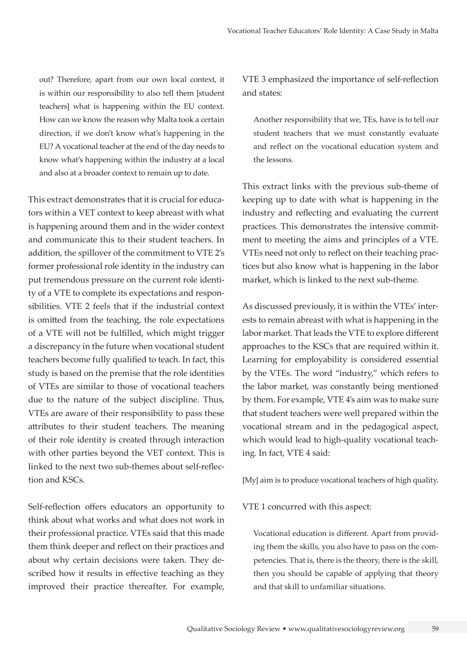out? Therefore, apart from our own local context, it is within our responsibility to also tell them [student teachers] what is happening within the EU context. How can we know the reason why Malta took a certain direction, if we don't know what's happening in the EU? A vocational teacher at the end of the day needs to know what's happening within the industry at a local and also at a broader context to remain up to date.

This extract demonstrates that it is crucial for educators within a VET context to keep abreast with what is happening around them and in the wider context and communicate this to their student teachers. In addition, the spillover of the commitment to VTE 2's former professional role identity in the industry can put tremendous pressure on the current role identity of a VTE to complete its expectations and responsibilities. VTE 2 feels that if the industrial context is omitted from the teaching, the role expectations of a VTE will not be fulfilled, which might trigger a discrepancy in the future when vocational student teachers become fully qualified to teach. In fact, this study is based on the premise that the role identities of VTEs are similar to those of vocational teachers due to the nature of the subject discipline. Thus, VTEs are aware of their responsibility to pass these attributes to their student teachers. The meaning of their role identity is created through interaction with other parties beyond the VET context. This is linked to the next two sub-themes about self-reflection and KSCs.

Self-reflection offers educators an opportunity to think about what works and what does not work in their professional practice. VTEs said that this made them think deeper and reflect on their practices and about why certain decisions were taken. They described how it results in effective teaching as they improved their practice thereafter. For example,

VTE 3 emphasized the importance of self-reflection and states:

Another responsibility that we, TEs, have is to tell our student teachers that we must constantly evaluate and reflect on the vocational education system and the lessons.

This extract links with the previous sub-theme of keeping up to date with what is happening in the industry and reflecting and evaluating the current practices. This demonstrates the intensive commitment to meeting the aims and principles of a VTE. VTEs need not only to reflect on their teaching practices but also know what is happening in the labor market, which is linked to the next sub-theme.

As discussed previously, it is within the VTEs' interests to remain abreast with what is happening in the labor market. That leads the VTE to explore different approaches to the KSCs that are required within it. Learning for employability is considered essential by the VTEs. The word "industry," which refers to the labor market, was constantly being mentioned by them. For example, VTE 4's aim was to make sure that student teachers were well prepared within the vocational stream and in the pedagogical aspect, which would lead to high-quality vocational teaching. In fact, VTE 4 said:

[My] aim is to produce vocational teachers of high quality.

VTE 1 concurred with this aspect:

Vocational education is different. Apart from providing them the skills, you also have to pass on the competencies. That is, there is the theory, there is the skill, then you should be capable of applying that theory and that skill to unfamiliar situations.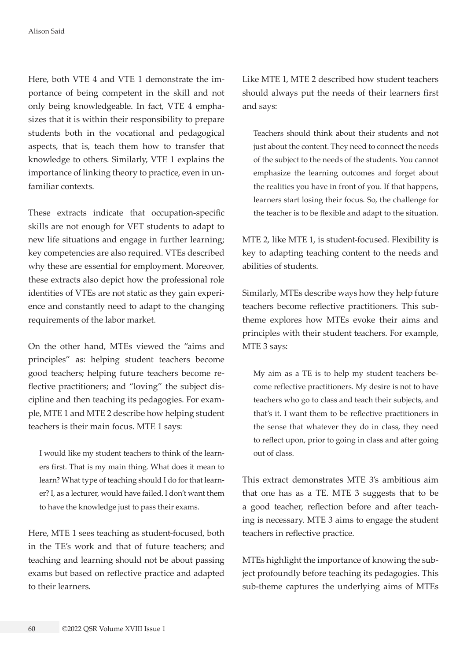Here, both VTE 4 and VTE 1 demonstrate the importance of being competent in the skill and not only being knowledgeable. In fact, VTE 4 emphasizes that it is within their responsibility to prepare students both in the vocational and pedagogical aspects, that is, teach them how to transfer that knowledge to others. Similarly, VTE 1 explains the importance of linking theory to practice, even in unfamiliar contexts.

These extracts indicate that occupation-specific skills are not enough for VET students to adapt to new life situations and engage in further learning; key competencies are also required. VTEs described why these are essential for employment. Moreover, these extracts also depict how the professional role identities of VTEs are not static as they gain experience and constantly need to adapt to the changing requirements of the labor market.

On the other hand, MTEs viewed the "aims and principles" as: helping student teachers become good teachers; helping future teachers become reflective practitioners; and "loving" the subject discipline and then teaching its pedagogies. For example, MTE 1 and MTE 2 describe how helping student teachers is their main focus. MTE 1 says:

I would like my student teachers to think of the learners first. That is my main thing. What does it mean to learn? What type of teaching should I do for that learner? I, as a lecturer, would have failed. I don't want them to have the knowledge just to pass their exams.

Here, MTE 1 sees teaching as student-focused, both in the TE's work and that of future teachers; and teaching and learning should not be about passing exams but based on reflective practice and adapted to their learners.

Like MTE 1, MTE 2 described how student teachers should always put the needs of their learners first and says:

Teachers should think about their students and not just about the content. They need to connect the needs of the subject to the needs of the students. You cannot emphasize the learning outcomes and forget about the realities you have in front of you. If that happens, learners start losing their focus. So, the challenge for the teacher is to be flexible and adapt to the situation.

MTE 2, like MTE 1, is student-focused. Flexibility is key to adapting teaching content to the needs and abilities of students.

Similarly, MTEs describe ways how they help future teachers become reflective practitioners. This subtheme explores how MTEs evoke their aims and principles with their student teachers. For example, MTE 3 says:

My aim as a TE is to help my student teachers become reflective practitioners. My desire is not to have teachers who go to class and teach their subjects, and that's it. I want them to be reflective practitioners in the sense that whatever they do in class, they need to reflect upon, prior to going in class and after going out of class.

This extract demonstrates MTE 3's ambitious aim that one has as a TE. MTE 3 suggests that to be a good teacher, reflection before and after teaching is necessary. MTE 3 aims to engage the student teachers in reflective practice.

MTEs highlight the importance of knowing the subject profoundly before teaching its pedagogies. This sub-theme captures the underlying aims of MTEs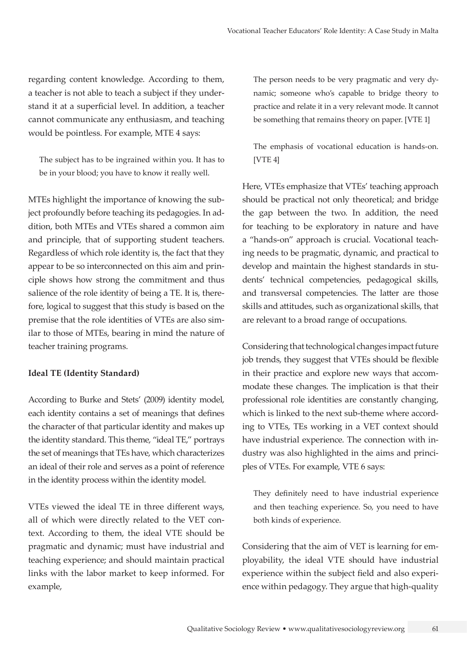regarding content knowledge. According to them, a teacher is not able to teach a subject if they understand it at a superficial level. In addition, a teacher cannot communicate any enthusiasm, and teaching would be pointless. For example, MTE 4 says:

The subject has to be ingrained within you. It has to be in your blood; you have to know it really well.

MTEs highlight the importance of knowing the subject profoundly before teaching its pedagogies. In addition, both MTEs and VTEs shared a common aim and principle, that of supporting student teachers. Regardless of which role identity is, the fact that they appear to be so interconnected on this aim and principle shows how strong the commitment and thus salience of the role identity of being a TE. It is, therefore, logical to suggest that this study is based on the premise that the role identities of VTEs are also similar to those of MTEs, bearing in mind the nature of teacher training programs.

#### **Ideal TE (Identity Standard)**

According to Burke and Stets' (2009) identity model, each identity contains a set of meanings that defines the character of that particular identity and makes up the identity standard. This theme, "ideal TE," portrays the set of meanings that TEs have, which characterizes an ideal of their role and serves as a point of reference in the identity process within the identity model.

VTEs viewed the ideal TE in three different ways, all of which were directly related to the VET context. According to them, the ideal VTE should be pragmatic and dynamic; must have industrial and teaching experience; and should maintain practical links with the labor market to keep informed. For example,

The person needs to be very pragmatic and very dynamic; someone who's capable to bridge theory to practice and relate it in a very relevant mode. It cannot be something that remains theory on paper. [VTE 1]

The emphasis of vocational education is hands-on. [VTE 4]

Here, VTEs emphasize that VTEs' teaching approach should be practical not only theoretical; and bridge the gap between the two. In addition, the need for teaching to be exploratory in nature and have a "hands-on" approach is crucial. Vocational teaching needs to be pragmatic, dynamic, and practical to develop and maintain the highest standards in students' technical competencies, pedagogical skills, and transversal competencies. The latter are those skills and attitudes, such as organizational skills, that are relevant to a broad range of occupations.

Considering that technological changes impact future job trends, they suggest that VTEs should be flexible in their practice and explore new ways that accommodate these changes. The implication is that their professional role identities are constantly changing, which is linked to the next sub-theme where according to VTEs, TEs working in a VET context should have industrial experience. The connection with industry was also highlighted in the aims and principles of VTEs. For example, VTE 6 says:

They definitely need to have industrial experience and then teaching experience. So, you need to have both kinds of experience.

Considering that the aim of VET is learning for employability, the ideal VTE should have industrial experience within the subject field and also experience within pedagogy. They argue that high-quality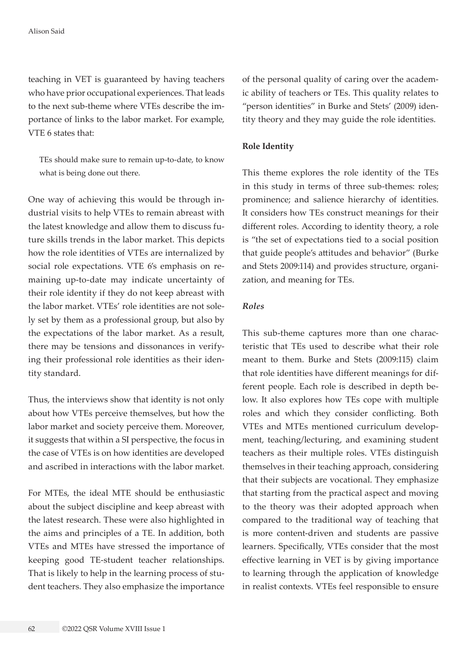teaching in VET is guaranteed by having teachers who have prior occupational experiences. That leads to the next sub-theme where VTEs describe the importance of links to the labor market. For example, VTE 6 states that:

TEs should make sure to remain up-to-date, to know what is being done out there.

One way of achieving this would be through industrial visits to help VTEs to remain abreast with the latest knowledge and allow them to discuss future skills trends in the labor market. This depicts how the role identities of VTEs are internalized by social role expectations. VTE 6's emphasis on remaining up-to-date may indicate uncertainty of their role identity if they do not keep abreast with the labor market. VTEs' role identities are not solely set by them as a professional group, but also by the expectations of the labor market. As a result, there may be tensions and dissonances in verifying their professional role identities as their identity standard.

Thus, the interviews show that identity is not only about how VTEs perceive themselves, but how the labor market and society perceive them. Moreover, it suggests that within a SI perspective, the focus in the case of VTEs is on how identities are developed and ascribed in interactions with the labor market.

For MTEs, the ideal MTE should be enthusiastic about the subject discipline and keep abreast with the latest research. These were also highlighted in the aims and principles of a TE. In addition, both VTEs and MTEs have stressed the importance of keeping good TE-student teacher relationships. That is likely to help in the learning process of student teachers. They also emphasize the importance of the personal quality of caring over the academic ability of teachers or TEs. This quality relates to "person identities" in Burke and Stets' (2009) identity theory and they may guide the role identities.

#### **Role Identity**

This theme explores the role identity of the TEs in this study in terms of three sub-themes: roles; prominence; and salience hierarchy of identities. It considers how TEs construct meanings for their different roles. According to identity theory, a role is "the set of expectations tied to a social position that guide people's attitudes and behavior" (Burke and Stets 2009:114) and provides structure, organization, and meaning for TEs.

## *Roles*

This sub-theme captures more than one characteristic that TEs used to describe what their role meant to them. Burke and Stets (2009:115) claim that role identities have different meanings for different people. Each role is described in depth below. It also explores how TEs cope with multiple roles and which they consider conflicting. Both VTEs and MTEs mentioned curriculum development, teaching/lecturing, and examining student teachers as their multiple roles. VTEs distinguish themselves in their teaching approach, considering that their subjects are vocational. They emphasize that starting from the practical aspect and moving to the theory was their adopted approach when compared to the traditional way of teaching that is more content-driven and students are passive learners. Specifically, VTEs consider that the most effective learning in VET is by giving importance to learning through the application of knowledge in realist contexts. VTEs feel responsible to ensure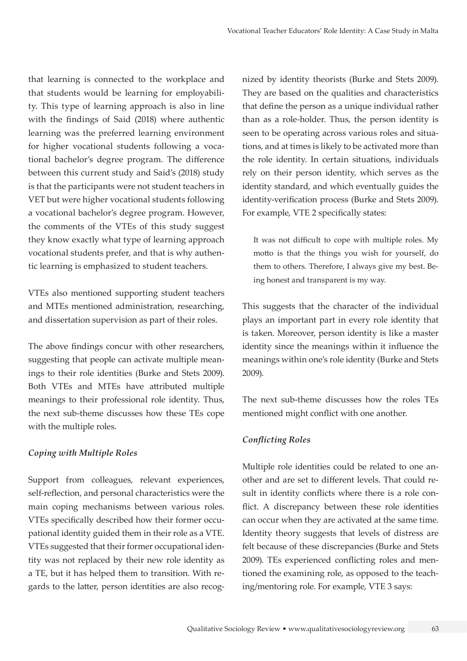that learning is connected to the workplace and that students would be learning for employability. This type of learning approach is also in line with the findings of Said (2018) where authentic learning was the preferred learning environment for higher vocational students following a vocational bachelor's degree program. The difference between this current study and Said's (2018) study is that the participants were not student teachers in VET but were higher vocational students following a vocational bachelor's degree program. However, the comments of the VTEs of this study suggest they know exactly what type of learning approach vocational students prefer, and that is why authentic learning is emphasized to student teachers.

VTEs also mentioned supporting student teachers and MTEs mentioned administration, researching, and dissertation supervision as part of their roles.

The above findings concur with other researchers, suggesting that people can activate multiple meanings to their role identities (Burke and Stets 2009). Both VTEs and MTEs have attributed multiple meanings to their professional role identity. Thus, the next sub-theme discusses how these TEs cope with the multiple roles.

## *Coping with Multiple Roles*

Support from colleagues, relevant experiences, self-reflection, and personal characteristics were the main coping mechanisms between various roles. VTEs specifically described how their former occupational identity guided them in their role as a VTE. VTEs suggested that their former occupational identity was not replaced by their new role identity as a TE, but it has helped them to transition. With regards to the latter, person identities are also recognized by identity theorists (Burke and Stets 2009). They are based on the qualities and characteristics that define the person as a unique individual rather than as a role-holder. Thus, the person identity is seen to be operating across various roles and situations, and at times is likely to be activated more than the role identity. In certain situations, individuals rely on their person identity, which serves as the identity standard, and which eventually guides the identity-verification process (Burke and Stets 2009). For example, VTE 2 specifically states:

It was not difficult to cope with multiple roles. My motto is that the things you wish for yourself, do them to others. Therefore, I always give my best. Being honest and transparent is my way.

This suggests that the character of the individual plays an important part in every role identity that is taken. Moreover, person identity is like a master identity since the meanings within it influence the meanings within one's role identity (Burke and Stets 2009).

The next sub-theme discusses how the roles TEs mentioned might conflict with one another.

#### *Conflicting Roles*

Multiple role identities could be related to one another and are set to different levels. That could result in identity conflicts where there is a role conflict. A discrepancy between these role identities can occur when they are activated at the same time. Identity theory suggests that levels of distress are felt because of these discrepancies (Burke and Stets 2009). TEs experienced conflicting roles and mentioned the examining role, as opposed to the teaching/mentoring role. For example, VTE 3 says: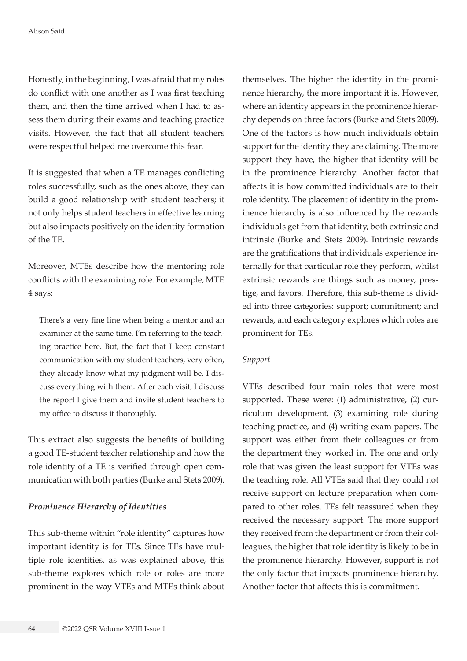Honestly, in the beginning, I was afraid that my roles do conflict with one another as I was first teaching them, and then the time arrived when I had to assess them during their exams and teaching practice visits. However, the fact that all student teachers were respectful helped me overcome this fear.

It is suggested that when a TE manages conflicting roles successfully, such as the ones above, they can build a good relationship with student teachers; it not only helps student teachers in effective learning but also impacts positively on the identity formation of the TE.

Moreover, MTEs describe how the mentoring role conflicts with the examining role. For example, MTE 4 says:

There's a very fine line when being a mentor and an examiner at the same time. I'm referring to the teaching practice here. But, the fact that I keep constant communication with my student teachers, very often, they already know what my judgment will be. I discuss everything with them. After each visit, I discuss the report I give them and invite student teachers to my office to discuss it thoroughly.

This extract also suggests the benefits of building a good TE-student teacher relationship and how the role identity of a TE is verified through open communication with both parties (Burke and Stets 2009).

#### *Prominence Hierarchy of Identities*

This sub-theme within "role identity" captures how important identity is for TEs. Since TEs have multiple role identities, as was explained above, this sub-theme explores which role or roles are more prominent in the way VTEs and MTEs think about

themselves. The higher the identity in the prominence hierarchy, the more important it is. However, where an identity appears in the prominence hierarchy depends on three factors (Burke and Stets 2009). One of the factors is how much individuals obtain support for the identity they are claiming. The more support they have, the higher that identity will be in the prominence hierarchy. Another factor that affects it is how committed individuals are to their role identity. The placement of identity in the prominence hierarchy is also influenced by the rewards individuals get from that identity, both extrinsic and intrinsic (Burke and Stets 2009). Intrinsic rewards are the gratifications that individuals experience internally for that particular role they perform, whilst extrinsic rewards are things such as money, prestige, and favors. Therefore, this sub-theme is divided into three categories: support; commitment; and rewards, and each category explores which roles are prominent for TEs.

#### *Support*

VTEs described four main roles that were most supported. These were: (1) administrative, (2) curriculum development, (3) examining role during teaching practice, and (4) writing exam papers. The support was either from their colleagues or from the department they worked in. The one and only role that was given the least support for VTEs was the teaching role. All VTEs said that they could not receive support on lecture preparation when compared to other roles. TEs felt reassured when they received the necessary support. The more support they received from the department or from their colleagues, the higher that role identity is likely to be in the prominence hierarchy. However, support is not the only factor that impacts prominence hierarchy. Another factor that affects this is commitment.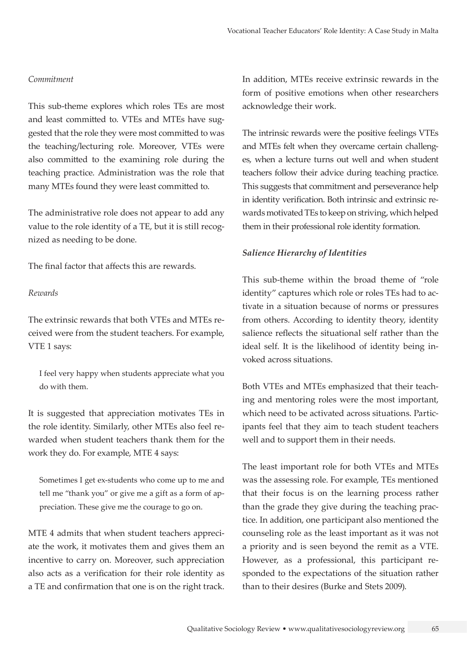#### *Commitment*

This sub-theme explores which roles TEs are most and least committed to. VTEs and MTEs have suggested that the role they were most committed to was the teaching/lecturing role. Moreover, VTEs were also committed to the examining role during the teaching practice. Administration was the role that many MTEs found they were least committed to.

The administrative role does not appear to add any value to the role identity of a TE, but it is still recognized as needing to be done.

The final factor that affects this are rewards.

#### *Rewards*

The extrinsic rewards that both VTEs and MTEs received were from the student teachers. For example, VTE 1 says:

I feel very happy when students appreciate what you do with them.

It is suggested that appreciation motivates TEs in the role identity. Similarly, other MTEs also feel rewarded when student teachers thank them for the work they do. For example, MTE 4 says:

Sometimes I get ex-students who come up to me and tell me "thank you" or give me a gift as a form of appreciation. These give me the courage to go on.

MTE 4 admits that when student teachers appreciate the work, it motivates them and gives them an incentive to carry on. Moreover, such appreciation also acts as a verification for their role identity as a TE and confirmation that one is on the right track.

In addition, MTEs receive extrinsic rewards in the form of positive emotions when other researchers acknowledge their work.

The intrinsic rewards were the positive feelings VTEs and MTEs felt when they overcame certain challenges, when a lecture turns out well and when student teachers follow their advice during teaching practice. This suggests that commitment and perseverance help in identity verification. Both intrinsic and extrinsic rewards motivated TEs to keep on striving, which helped them in their professional role identity formation.

#### *Salience Hierarchy of Identities*

This sub-theme within the broad theme of "role identity" captures which role or roles TEs had to activate in a situation because of norms or pressures from others. According to identity theory, identity salience reflects the situational self rather than the ideal self. It is the likelihood of identity being invoked across situations.

Both VTEs and MTEs emphasized that their teaching and mentoring roles were the most important, which need to be activated across situations. Participants feel that they aim to teach student teachers well and to support them in their needs.

The least important role for both VTEs and MTEs was the assessing role. For example, TEs mentioned that their focus is on the learning process rather than the grade they give during the teaching practice. In addition, one participant also mentioned the counseling role as the least important as it was not a priority and is seen beyond the remit as a VTE. However, as a professional, this participant responded to the expectations of the situation rather than to their desires (Burke and Stets 2009).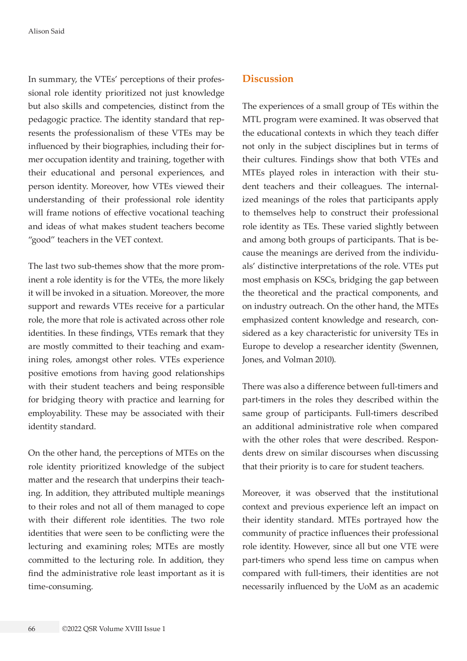In summary, the VTEs' perceptions of their professional role identity prioritized not just knowledge but also skills and competencies, distinct from the pedagogic practice. The identity standard that represents the professionalism of these VTEs may be influenced by their biographies, including their former occupation identity and training, together with their educational and personal experiences, and person identity. Moreover, how VTEs viewed their understanding of their professional role identity will frame notions of effective vocational teaching and ideas of what makes student teachers become "good" teachers in the VET context.

The last two sub-themes show that the more prominent a role identity is for the VTEs, the more likely it will be invoked in a situation. Moreover, the more support and rewards VTEs receive for a particular role, the more that role is activated across other role identities. In these findings, VTEs remark that they are mostly committed to their teaching and examining roles, amongst other roles. VTEs experience positive emotions from having good relationships with their student teachers and being responsible for bridging theory with practice and learning for employability. These may be associated with their identity standard.

On the other hand, the perceptions of MTEs on the role identity prioritized knowledge of the subject matter and the research that underpins their teaching. In addition, they attributed multiple meanings to their roles and not all of them managed to cope with their different role identities. The two role identities that were seen to be conflicting were the lecturing and examining roles; MTEs are mostly committed to the lecturing role. In addition, they find the administrative role least important as it is time-consuming.

# **Discussion**

The experiences of a small group of TEs within the MTL program were examined. It was observed that the educational contexts in which they teach differ not only in the subject disciplines but in terms of their cultures. Findings show that both VTEs and MTEs played roles in interaction with their student teachers and their colleagues. The internalized meanings of the roles that participants apply to themselves help to construct their professional role identity as TEs. These varied slightly between and among both groups of participants. That is because the meanings are derived from the individuals' distinctive interpretations of the role. VTEs put most emphasis on KSCs, bridging the gap between the theoretical and the practical components, and on industry outreach. On the other hand, the MTEs emphasized content knowledge and research, considered as a key characteristic for university TEs in Europe to develop a researcher identity (Swennen, Jones, and Volman 2010).

There was also a difference between full-timers and part-timers in the roles they described within the same group of participants. Full-timers described an additional administrative role when compared with the other roles that were described. Respondents drew on similar discourses when discussing that their priority is to care for student teachers.

Moreover, it was observed that the institutional context and previous experience left an impact on their identity standard. MTEs portrayed how the community of practice influences their professional role identity. However, since all but one VTE were part-timers who spend less time on campus when compared with full-timers, their identities are not necessarily influenced by the UoM as an academic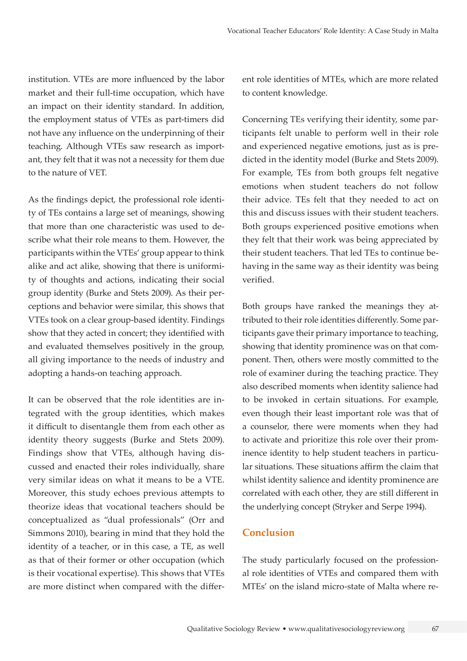institution. VTEs are more influenced by the labor market and their full-time occupation, which have an impact on their identity standard. In addition, the employment status of VTEs as part-timers did not have any influence on the underpinning of their teaching. Although VTEs saw research as important, they felt that it was not a necessity for them due to the nature of VET.

As the findings depict, the professional role identity of TEs contains a large set of meanings, showing that more than one characteristic was used to describe what their role means to them. However, the participants within the VTEs' group appear to think alike and act alike, showing that there is uniformity of thoughts and actions, indicating their social group identity (Burke and Stets 2009). As their perceptions and behavior were similar, this shows that VTEs took on a clear group-based identity. Findings show that they acted in concert; they identified with and evaluated themselves positively in the group, all giving importance to the needs of industry and adopting a hands-on teaching approach.

It can be observed that the role identities are integrated with the group identities, which makes it difficult to disentangle them from each other as identity theory suggests (Burke and Stets 2009). Findings show that VTEs, although having discussed and enacted their roles individually, share very similar ideas on what it means to be a VTE. Moreover, this study echoes previous attempts to theorize ideas that vocational teachers should be conceptualized as "dual professionals" (Orr and Simmons 2010), bearing in mind that they hold the identity of a teacher, or in this case, a TE, as well as that of their former or other occupation (which is their vocational expertise). This shows that VTEs are more distinct when compared with the different role identities of MTEs, which are more related to content knowledge.

Concerning TEs verifying their identity, some participants felt unable to perform well in their role and experienced negative emotions, just as is predicted in the identity model (Burke and Stets 2009). For example, TEs from both groups felt negative emotions when student teachers do not follow their advice. TEs felt that they needed to act on this and discuss issues with their student teachers. Both groups experienced positive emotions when they felt that their work was being appreciated by their student teachers. That led TEs to continue behaving in the same way as their identity was being verified.

Both groups have ranked the meanings they attributed to their role identities differently. Some participants gave their primary importance to teaching, showing that identity prominence was on that component. Then, others were mostly committed to the role of examiner during the teaching practice. They also described moments when identity salience had to be invoked in certain situations. For example, even though their least important role was that of a counselor, there were moments when they had to activate and prioritize this role over their prominence identity to help student teachers in particular situations. These situations affirm the claim that whilst identity salience and identity prominence are correlated with each other, they are still different in the underlying concept (Stryker and Serpe 1994).

# **Conclusion**

The study particularly focused on the professional role identities of VTEs and compared them with MTEs' on the island micro-state of Malta where re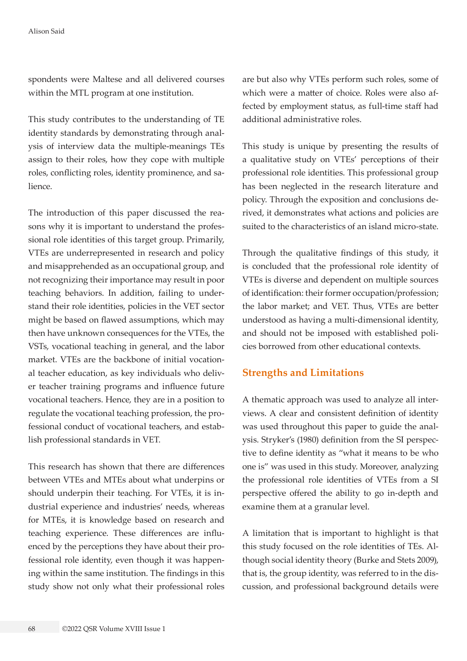spondents were Maltese and all delivered courses within the MTL program at one institution.

This study contributes to the understanding of TE identity standards by demonstrating through analysis of interview data the multiple-meanings TEs assign to their roles, how they cope with multiple roles, conflicting roles, identity prominence, and salience.

The introduction of this paper discussed the reasons why it is important to understand the professional role identities of this target group. Primarily, VTEs are underrepresented in research and policy and misapprehended as an occupational group, and not recognizing their importance may result in poor teaching behaviors. In addition, failing to understand their role identities, policies in the VET sector might be based on flawed assumptions, which may then have unknown consequences for the VTEs, the VSTs, vocational teaching in general, and the labor market. VTEs are the backbone of initial vocational teacher education, as key individuals who deliver teacher training programs and influence future vocational teachers. Hence, they are in a position to regulate the vocational teaching profession, the professional conduct of vocational teachers, and establish professional standards in VET.

This research has shown that there are differences between VTEs and MTEs about what underpins or should underpin their teaching. For VTEs, it is industrial experience and industries' needs, whereas for MTEs, it is knowledge based on research and teaching experience. These differences are influenced by the perceptions they have about their professional role identity, even though it was happening within the same institution. The findings in this study show not only what their professional roles

are but also why VTEs perform such roles, some of which were a matter of choice. Roles were also affected by employment status, as full-time staff had additional administrative roles.

This study is unique by presenting the results of a qualitative study on VTEs' perceptions of their professional role identities. This professional group has been neglected in the research literature and policy. Through the exposition and conclusions derived, it demonstrates what actions and policies are suited to the characteristics of an island micro-state.

Through the qualitative findings of this study, it is concluded that the professional role identity of VTEs is diverse and dependent on multiple sources of identification: their former occupation/profession; the labor market; and VET. Thus, VTEs are better understood as having a multi-dimensional identity, and should not be imposed with established policies borrowed from other educational contexts.

## **Strengths and Limitations**

A thematic approach was used to analyze all interviews. A clear and consistent definition of identity was used throughout this paper to guide the analysis. Stryker's (1980) definition from the SI perspective to define identity as "what it means to be who one is" was used in this study. Moreover, analyzing the professional role identities of VTEs from a SI perspective offered the ability to go in-depth and examine them at a granular level.

A limitation that is important to highlight is that this study focused on the role identities of TEs. Although social identity theory (Burke and Stets 2009), that is, the group identity, was referred to in the discussion, and professional background details were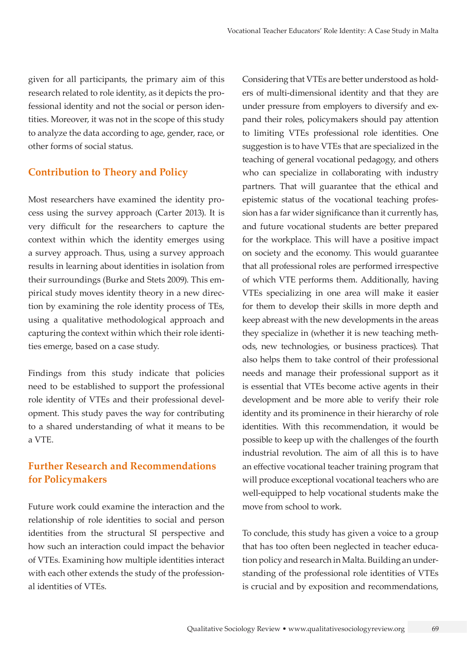given for all participants, the primary aim of this research related to role identity, as it depicts the professional identity and not the social or person identities. Moreover, it was not in the scope of this study to analyze the data according to age, gender, race, or other forms of social status.

# **Contribution to Theory and Policy**

Most researchers have examined the identity process using the survey approach (Carter 2013). It is very difficult for the researchers to capture the context within which the identity emerges using a survey approach. Thus, using a survey approach results in learning about identities in isolation from their surroundings (Burke and Stets 2009). This empirical study moves identity theory in a new direction by examining the role identity process of TEs, using a qualitative methodological approach and capturing the context within which their role identities emerge, based on a case study.

Findings from this study indicate that policies need to be established to support the professional role identity of VTEs and their professional development. This study paves the way for contributing to a shared understanding of what it means to be a VTE.

# **Further Research and Recommendations for Policymakers**

Future work could examine the interaction and the relationship of role identities to social and person identities from the structural SI perspective and how such an interaction could impact the behavior of VTEs. Examining how multiple identities interact with each other extends the study of the professional identities of VTEs.

Considering that VTEs are better understood as holders of multi-dimensional identity and that they are under pressure from employers to diversify and expand their roles, policymakers should pay attention to limiting VTEs professional role identities. One suggestion is to have VTEs that are specialized in the teaching of general vocational pedagogy, and others who can specialize in collaborating with industry partners. That will guarantee that the ethical and epistemic status of the vocational teaching profession has a far wider significance than it currently has, and future vocational students are better prepared for the workplace. This will have a positive impact on society and the economy. This would guarantee that all professional roles are performed irrespective of which VTE performs them. Additionally, having VTEs specializing in one area will make it easier for them to develop their skills in more depth and keep abreast with the new developments in the areas they specialize in (whether it is new teaching methods, new technologies, or business practices). That also helps them to take control of their professional needs and manage their professional support as it is essential that VTEs become active agents in their development and be more able to verify their role identity and its prominence in their hierarchy of role identities. With this recommendation, it would be possible to keep up with the challenges of the fourth industrial revolution. The aim of all this is to have an effective vocational teacher training program that will produce exceptional vocational teachers who are well-equipped to help vocational students make the move from school to work.

To conclude, this study has given a voice to a group that has too often been neglected in teacher education policy and research in Malta. Building an understanding of the professional role identities of VTEs is crucial and by exposition and recommendations,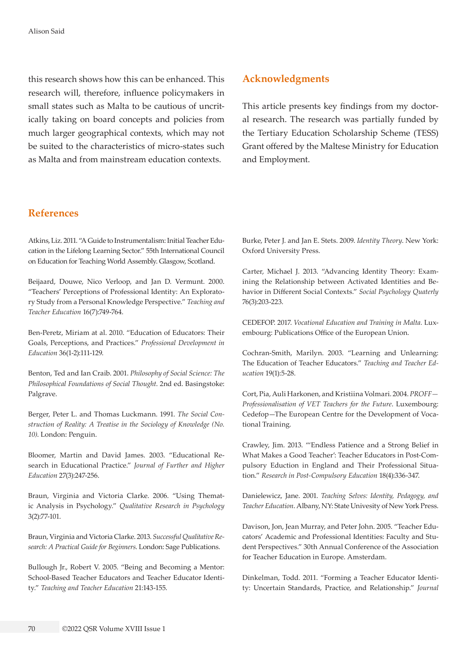this research shows how this can be enhanced. This research will, therefore, influence policymakers in small states such as Malta to be cautious of uncritically taking on board concepts and policies from much larger geographical contexts, which may not be suited to the characteristics of micro-states such as Malta and from mainstream education contexts.

# **References**

Atkins, Liz. 2011. "A Guide to Instrumentalism: Initial Teacher Education in the Lifelong Learning Sector." 55th International Council on Education for Teaching World Assembly. Glasgow, Scotland.

Beijaard, Douwe, Nico Verloop, and Jan D. Vermunt. 2000. "Teachers' Perceptions of Professional Identity: An Exploratory Study from a Personal Knowledge Perspective." *Teaching and Teacher Education* 16(7):749-764.

Ben-Peretz, Miriam at al. 2010. "Education of Educators: Their Goals, Perceptions, and Practices." *Professional Development in Education* 36(1-2):111-129.

Benton, Ted and Ian Craib. 2001. *Philosophy of Social Science: The Philosophical Foundations of Social Thought*. 2nd ed. Basingstoke: Palgrave.

Berger, Peter L. and Thomas Luckmann. 1991. *The Social Construction of Reality: A Treatise in the Sociology of Knowledge (No. 10)*. London: Penguin.

Bloomer, Martin and David James. 2003. "Educational Research in Educational Practice." *Journal of Further and Higher Education* 27(3):247-256.

Braun, Virginia and Victoria Clarke. 2006. "Using Thematic Analysis in Psychology." *Qualitative Research in Psychology*  3(2):77-101.

Braun, Virginia and Victoria Clarke. 2013. *Successful Qualitative Research: A Practical Guide for Beginners*. London: Sage Publications.

Bullough Jr., Robert V. 2005. "Being and Becoming a Mentor: School-Based Teacher Educators and Teacher Educator Identity." *Teaching and Teacher Education* 21:143-155.

## **Acknowledgments**

This article presents key findings from my doctoral research. The research was partially funded by the Tertiary Education Scholarship Scheme (TESS) Grant offered by the Maltese Ministry for Education and Employment.

Burke, Peter J. and Jan E. Stets. 2009. *Identity Theory*. New York: Oxford University Press.

Carter, Michael J. 2013. "Advancing Identity Theory: Examining the Relationship between Activated Identities and Behavior in Different Social Contexts." *Social Psychology Quaterly*  76(3):203-223.

CEDEFOP. 2017. *Vocational Education and Training in Malta.* Luxembourg: Publications Office of the European Union.

Cochran-Smith, Marilyn. 2003. "Learning and Unlearning: The Education of Teacher Educators." *Teaching and Teacher Education* 19(1):5-28.

Cort, Pia, Auli Harkonen, and Kristiina Volmari. 2004. *PROFF— Professionalisation of VET Teachers for the Future*. Luxembourg: Cedefop—The European Centre for the Development of Vocational Training.

Crawley, Jim. 2013. "'Endless Patience and a Strong Belief in What Makes a Good Teacher': Teacher Educators in Post-Compulsory Eduction in England and Their Professional Situation." *Research in Post-Compulsory Education* 18(4):336-347.

Danielewicz, Jane. 2001. *Teaching Selves: Identity, Pedagogy, and Teacher Education*. Albany, NY: State Univesity of New York Press.

Davison, Jon, Jean Murray, and Peter John. 2005. "Teacher Educators' Academic and Professional Identities: Faculty and Student Perspectives." 30th Annual Conference of the Association for Teacher Education in Europe. Amsterdam.

Dinkelman, Todd. 2011. "Forming a Teacher Educator Identity: Uncertain Standards, Practice, and Relationship." *Journal*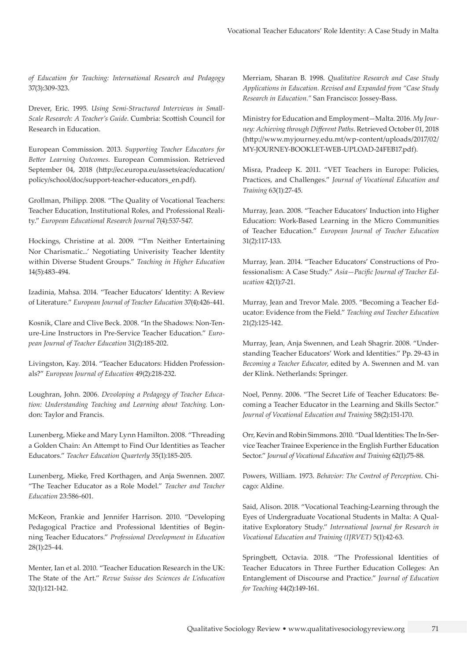*of Education for Teaching: International Research and Pedagogy*  37(3):309-323.

Drever, Eric. 1995. *Using Semi-Structured Interviews in Small-Scale Research: A Teacher's Guide*. Cumbria: Scottish Council for Research in Education.

European Commission. 2013. *Supporting Teacher Educators for Better Learning Outcomes*. European Commission. Retrieved September 04, 2018 (http://ec.europa.eu/assets/eac/education/ policy/school/doc/support-teacher-educators\_en.pdf).

Grollman, Philipp. 2008. "The Quality of Vocational Teachers: Teacher Education, Institutional Roles, and Professional Reality." *European Educational Research Journal* 7(4):537-547.

Hockings, Christine at al. 2009. "'I'm Neither Entertaining Nor Charismatic...' Negotiating Univerisity Teacher Identity within Diverse Student Groups." *Teaching in Higher Education*  14(5):483-494.

Izadinia, Mahsa. 2014. "Teacher Educators' Identity: A Review of Literature." *European Journal of Teacher Education* 37(4):426-441.

Kosnik, Clare and Clive Beck. 2008. "In the Shadows: Non-Tenure-Line Instructors in Pre-Service Teacher Education." *European Journal of Teacher Education* 31(2):185-202.

Livingston, Kay. 2014. "Teacher Educators: Hidden Professionals?" *European Journal of Education* 49(2):218-232.

Loughran, John. 2006. *Devoloping a Pedagogy of Teacher Education: Understanding Teaching and Learning about Teaching*. London: Taylor and Francis.

Lunenberg, Mieke and Mary Lynn Hamilton. 2008. "Threading a Golden Chain: An Attempt to Find Our Identities as Teacher Educators." *Teacher Education Quarterly* 35(1):185-205.

Lunenberg, Mieke, Fred Korthagen, and Anja Swennen. 2007. "The Teacher Educator as a Role Model." *Teacher and Teacher Education* 23:586-601.

McKeon, Frankie and Jennifer Harrison. 2010. "Developing Pedagogical Practice and Professional Identities of Beginning Teacher Educators." *Professional Development in Education*  28(1):25-44.

Menter, Ian et al. 2010. "Teacher Education Research in the UK: The State of the Art." *Revue Suisse des Sciences de L'education*  32(1):121-142.

Merriam, Sharan B. 1998. *Qualitative Research and Case Study Applications in Education. Revised and Expanded from "Case Study Research in Education."* San Francisco: Jossey-Bass.

Ministry for Education and Employment—Malta. 2016. *My Journey: Achieving through Different Paths*. Retrieved October 01, 2018 ([http://www.myjourney.edu.mt/wp-content/uploads/2017/02/](http://www.myjourney.edu.mt/wp-content/uploads/2017/02/MY-JOURNEY-BOOKLET-WEB-UPLOAD-24FEB17.pdf) [MY-JOURNEY-BOOKLET-WEB-UPLOAD-24FEB17.pdf](http://www.myjourney.edu.mt/wp-content/uploads/2017/02/MY-JOURNEY-BOOKLET-WEB-UPLOAD-24FEB17.pdf)).

Misra, Pradeep K. 2011. "VET Teachers in Europe: Policies, Practices, and Challenges." *Journal of Vocational Education and Training* 63(1):27-45.

Murray, Jean. 2008. "Teacher Educators' Induction into Higher Education: Work-Based Learning in the Micro Communities of Teacher Education." *European Journal of Teacher Education*  31(2):117-133.

Murray, Jean. 2014. "Teacher Educators' Constructions of Professionalism: A Case Study." *Asia—Pacific Journal of Teacher Education* 42(1):7-21.

Murray, Jean and Trevor Male. 2005. "Becoming a Teacher Educator: Evidence from the Field." *Teaching and Teacher Education*  21(2):125-142.

Murray, Jean, Anja Swennen, and Leah Shagrir. 2008. "Understanding Teacher Educators' Work and Identities." Pp. 29-43 in *Becoming a Teacher Educator*, edited by A. Swennen and M. van der Klink. Netherlands: Springer.

Noel, Penny. 2006. "The Secret Life of Teacher Educators: Becoming a Teacher Educator in the Learning and Skills Sector." *Journal of Vocational Education and Training* 58(2):151-170.

Orr, Kevin and Robin Simmons. 2010. "Dual Identities: The In-Service Teacher Trainee Experience in the English Further Education Sector." *Journal of Vocational Education and Training* 62(1):75-88.

Powers, William. 1973. *Behavior: The Control of Perception*. Chicago: Aldine.

Said, Alison. 2018. "Vocational Teaching-Learning through the Eyes of Undergraduate Vocational Students in Malta: A Qualitative Exploratory Study." *International Journal for Research in Vocational Education and Training (IJRVET)* 5(1):42-63.

Springbett, Octavia. 2018. "The Professional Identities of Teacher Educators in Three Further Education Colleges: An Entanglement of Discourse and Practice." *Journal of Education for Teaching* 44(2):149-161.